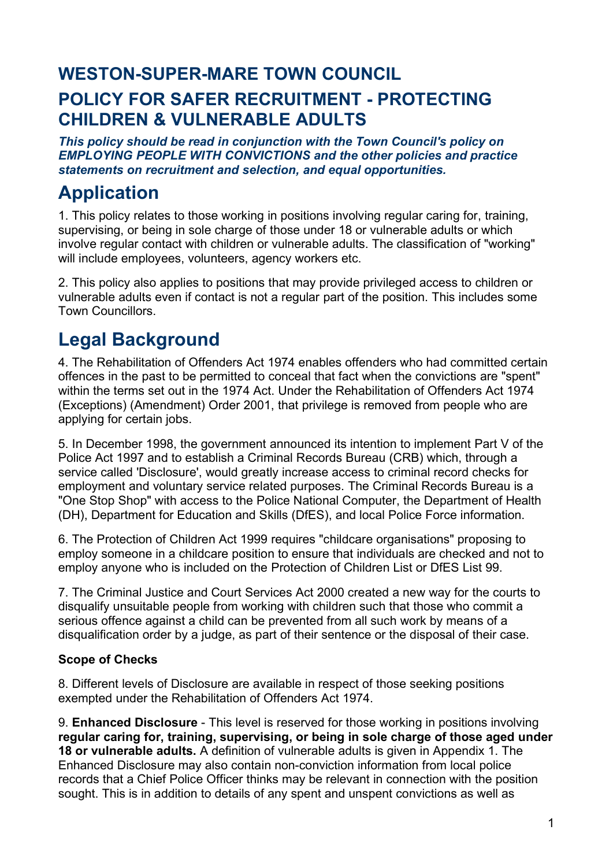# **WESTON-SUPER-MARE TOWN COUNCIL POLICY FOR SAFER RECRUITMENT - PROTECTING CHILDREN & VULNERABLE ADULTS**

*This policy should be read in conjunction with the Town Council's policy on EMPLOYING PEOPLE WITH CONVICTIONS and the other policies and practice statements on recruitment and selection, and equal opportunities.*

# **Application**

1. This policy relates to those working in positions involving regular caring for, training, supervising, or being in sole charge of those under 18 or vulnerable adults or which involve regular contact with children or vulnerable adults. The classification of "working" will include employees, volunteers, agency workers etc.

2. This policy also applies to positions that may provide privileged access to children or vulnerable adults even if contact is not a regular part of the position. This includes some Town Councillors.

# **Legal Background**

4. The Rehabilitation of Offenders Act 1974 enables offenders who had committed certain offences in the past to be permitted to conceal that fact when the convictions are "spent" within the terms set out in the 1974 Act. Under the Rehabilitation of Offenders Act 1974 (Exceptions) (Amendment) Order 2001, that privilege is removed from people who are applying for certain jobs.

5. In December 1998, the government announced its intention to implement Part V of the Police Act 1997 and to establish a Criminal Records Bureau (CRB) which, through a service called 'Disclosure', would greatly increase access to criminal record checks for employment and voluntary service related purposes. The Criminal Records Bureau is a "One Stop Shop" with access to the Police National Computer, the Department of Health (DH), Department for Education and Skills (DfES), and local Police Force information.

6. The Protection of Children Act 1999 requires "childcare organisations" proposing to employ someone in a childcare position to ensure that individuals are checked and not to employ anyone who is included on the Protection of Children List or DfES List 99.

7. The Criminal Justice and Court Services Act 2000 created a new way for the courts to disqualify unsuitable people from working with children such that those who commit a serious offence against a child can be prevented from all such work by means of a disqualification order by a judge, as part of their sentence or the disposal of their case.

## **Scope of Checks**

8. Different levels of Disclosure are available in respect of those seeking positions exempted under the Rehabilitation of Offenders Act 1974.

9. **Enhanced Disclosure** - This level is reserved for those working in positions involving **regular caring for, training, supervising, or being in sole charge of those aged under 18 or vulnerable adults.** A definition of vulnerable adults is given in Appendix 1. The Enhanced Disclosure may also contain non-conviction information from local police records that a Chief Police Officer thinks may be relevant in connection with the position sought. This is in addition to details of any spent and unspent convictions as well as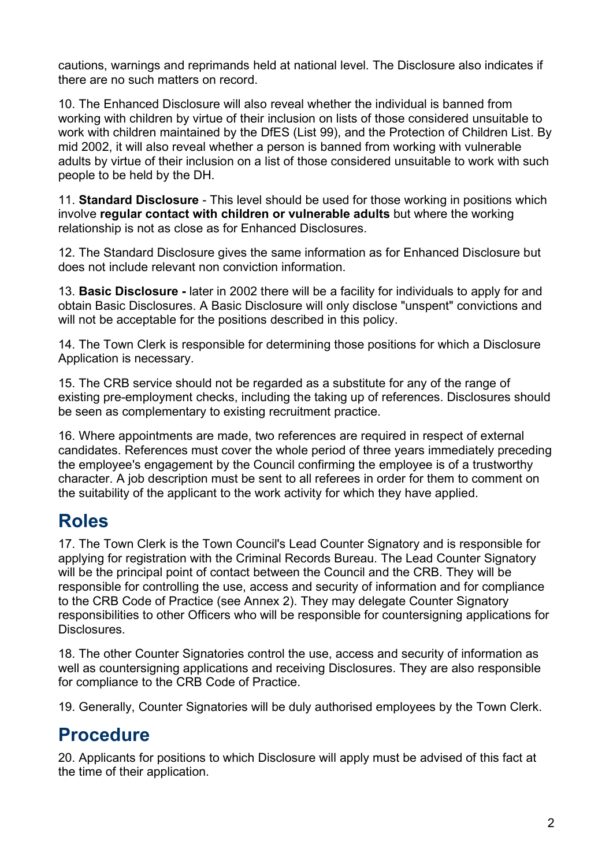cautions, warnings and reprimands held at national level. The Disclosure also indicates if there are no such matters on record.

10. The Enhanced Disclosure will also reveal whether the individual is banned from working with children by virtue of their inclusion on lists of those considered unsuitable to work with children maintained by the DfES (List 99), and the Protection of Children List. By mid 2002, it will also reveal whether a person is banned from working with vulnerable adults by virtue of their inclusion on a list of those considered unsuitable to work with such people to be held by the DH.

11. **Standard Disclosure** - This level should be used for those working in positions which involve **regular contact with children or vulnerable adults** but where the working relationship is not as close as for Enhanced Disclosures.

12. The Standard Disclosure gives the same information as for Enhanced Disclosure but does not include relevant non conviction information.

13. **Basic Disclosure -** later in 2002 there will be a facility for individuals to apply for and obtain Basic Disclosures. A Basic Disclosure will only disclose "unspent" convictions and will not be acceptable for the positions described in this policy.

14. The Town Clerk is responsible for determining those positions for which a Disclosure Application is necessary.

15. The CRB service should not be regarded as a substitute for any of the range of existing pre-employment checks, including the taking up of references. Disclosures should be seen as complementary to existing recruitment practice.

16. Where appointments are made, two references are required in respect of external candidates. References must cover the whole period of three years immediately preceding the employee's engagement by the Council confirming the employee is of a trustworthy character. A job description must be sent to all referees in order for them to comment on the suitability of the applicant to the work activity for which they have applied.

## **Roles**

17. The Town Clerk is the Town Council's Lead Counter Signatory and is responsible for applying for registration with the Criminal Records Bureau. The Lead Counter Signatory will be the principal point of contact between the Council and the CRB. They will be responsible for controlling the use, access and security of information and for compliance to the CRB Code of Practice (see Annex 2). They may delegate Counter Signatory responsibilities to other Officers who will be responsible for countersigning applications for Disclosures.

18. The other Counter Signatories control the use, access and security of information as well as countersigning applications and receiving Disclosures. They are also responsible for compliance to the CRB Code of Practice.

19. Generally, Counter Signatories will be duly authorised employees by the Town Clerk.

## **Procedure**

20. Applicants for positions to which Disclosure will apply must be advised of this fact at the time of their application.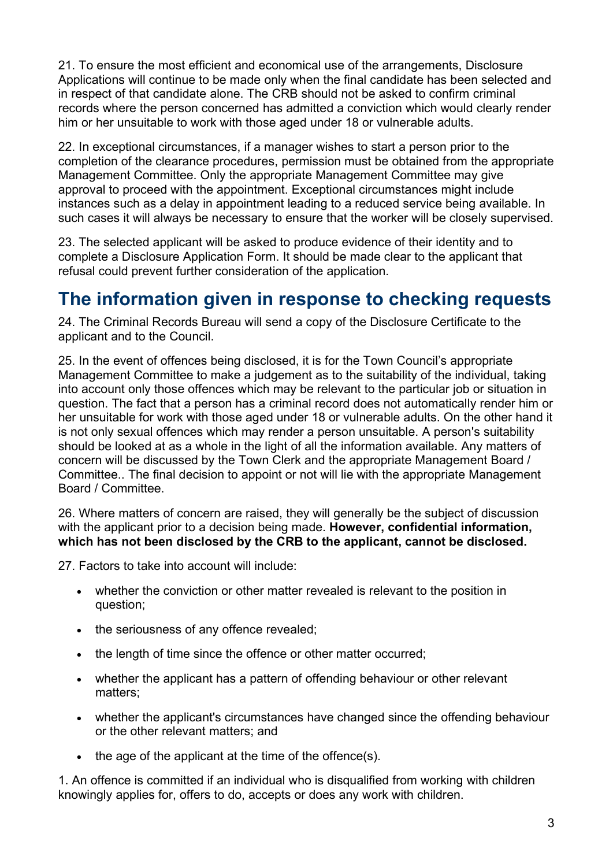21. To ensure the most efficient and economical use of the arrangements, Disclosure Applications will continue to be made only when the final candidate has been selected and in respect of that candidate alone. The CRB should not be asked to confirm criminal records where the person concerned has admitted a conviction which would clearly render him or her unsuitable to work with those aged under 18 or vulnerable adults.

22. In exceptional circumstances, if a manager wishes to start a person prior to the completion of the clearance procedures, permission must be obtained from the appropriate Management Committee. Only the appropriate Management Committee may give approval to proceed with the appointment. Exceptional circumstances might include instances such as a delay in appointment leading to a reduced service being available. In such cases it will always be necessary to ensure that the worker will be closely supervised.

23. The selected applicant will be asked to produce evidence of their identity and to complete a Disclosure Application Form. It should be made clear to the applicant that refusal could prevent further consideration of the application.

## **The information given in response to checking requests**

24. The Criminal Records Bureau will send a copy of the Disclosure Certificate to the applicant and to the Council.

25. In the event of offences being disclosed, it is for the Town Council's appropriate Management Committee to make a judgement as to the suitability of the individual, taking into account only those offences which may be relevant to the particular job or situation in question. The fact that a person has a criminal record does not automatically render him or her unsuitable for work with those aged under 18 or vulnerable adults. On the other hand it is not only sexual offences which may render a person unsuitable. A person's suitability should be looked at as a whole in the light of all the information available. Any matters of concern will be discussed by the Town Clerk and the appropriate Management Board / Committee.. The final decision to appoint or not will lie with the appropriate Management Board / Committee.

26. Where matters of concern are raised, they will generally be the subject of discussion with the applicant prior to a decision being made. **However, confidential information, which has not been disclosed by the CRB to the applicant, cannot be disclosed.**

27. Factors to take into account will include:

- whether the conviction or other matter revealed is relevant to the position in question;
- the seriousness of any offence revealed;
- the length of time since the offence or other matter occurred;
- whether the applicant has a pattern of offending behaviour or other relevant matters;
- whether the applicant's circumstances have changed since the offending behaviour or the other relevant matters; and
- the age of the applicant at the time of the offence(s).

1. An offence is committed if an individual who is disqualified from working with children knowingly applies for, offers to do, accepts or does any work with children.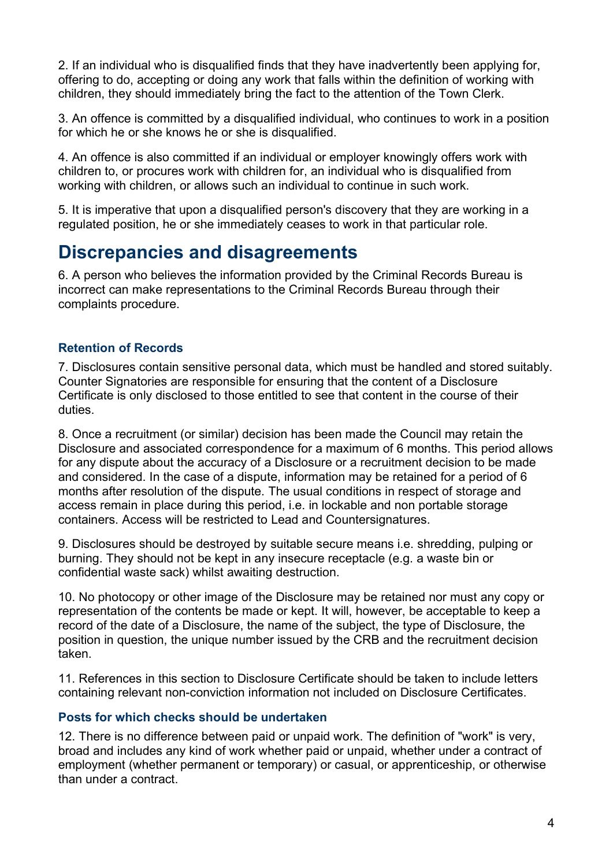2. If an individual who is disqualified finds that they have inadvertently been applying for, offering to do, accepting or doing any work that falls within the definition of working with children, they should immediately bring the fact to the attention of the Town Clerk.

3. An offence is committed by a disqualified individual, who continues to work in a position for which he or she knows he or she is disqualified.

4. An offence is also committed if an individual or employer knowingly offers work with children to, or procures work with children for, an individual who is disqualified from working with children, or allows such an individual to continue in such work.

5. It is imperative that upon a disqualified person's discovery that they are working in a regulated position, he or she immediately ceases to work in that particular role.

## **Discrepancies and disagreements**

6. A person who believes the information provided by the Criminal Records Bureau is incorrect can make representations to the Criminal Records Bureau through their complaints procedure.

## **Retention of Records**

7. Disclosures contain sensitive personal data, which must be handled and stored suitably. Counter Signatories are responsible for ensuring that the content of a Disclosure Certificate is only disclosed to those entitled to see that content in the course of their duties.

8. Once a recruitment (or similar) decision has been made the Council may retain the Disclosure and associated correspondence for a maximum of 6 months. This period allows for any dispute about the accuracy of a Disclosure or a recruitment decision to be made and considered. In the case of a dispute, information may be retained for a period of 6 months after resolution of the dispute. The usual conditions in respect of storage and access remain in place during this period, i.e. in lockable and non portable storage containers. Access will be restricted to Lead and Countersignatures.

9. Disclosures should be destroyed by suitable secure means i.e. shredding, pulping or burning. They should not be kept in any insecure receptacle (e.g. a waste bin or confidential waste sack) whilst awaiting destruction.

10. No photocopy or other image of the Disclosure may be retained nor must any copy or representation of the contents be made or kept. It will, however, be acceptable to keep a record of the date of a Disclosure, the name of the subject, the type of Disclosure, the position in question, the unique number issued by the CRB and the recruitment decision taken.

11. References in this section to Disclosure Certificate should be taken to include letters containing relevant non-conviction information not included on Disclosure Certificates.

## **Posts for which checks should be undertaken**

12. There is no difference between paid or unpaid work. The definition of "work" is very, broad and includes any kind of work whether paid or unpaid, whether under a contract of employment (whether permanent or temporary) or casual, or apprenticeship, or otherwise than under a contract.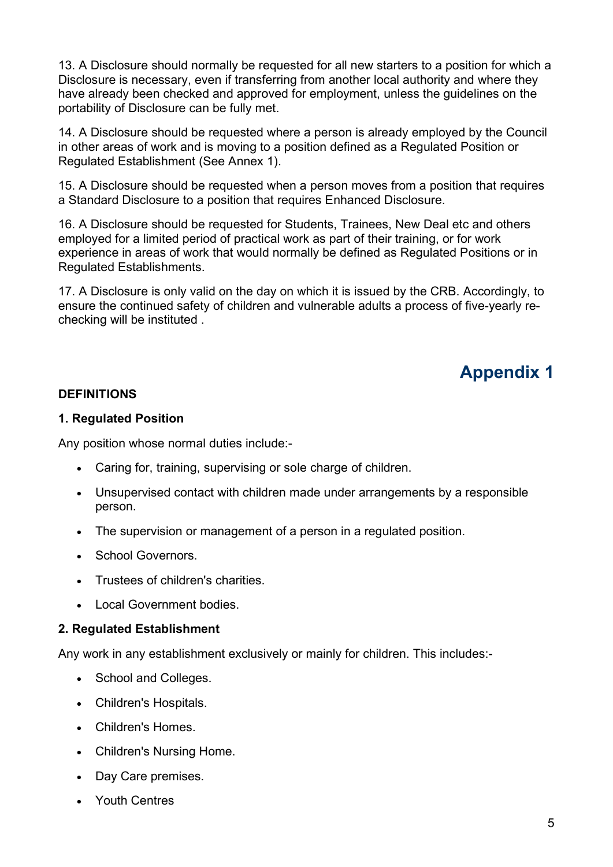13. A Disclosure should normally be requested for all new starters to a position for which a Disclosure is necessary, even if transferring from another local authority and where they have already been checked and approved for employment, unless the guidelines on the portability of Disclosure can be fully met.

14. A Disclosure should be requested where a person is already employed by the Council in other areas of work and is moving to a position defined as a Regulated Position or Regulated Establishment (See Annex 1).

15. A Disclosure should be requested when a person moves from a position that requires a Standard Disclosure to a position that requires Enhanced Disclosure.

16. A Disclosure should be requested for Students, Trainees, New Deal etc and others employed for a limited period of practical work as part of their training, or for work experience in areas of work that would normally be defined as Regulated Positions or in Regulated Establishments.

17. A Disclosure is only valid on the day on which it is issued by the CRB. Accordingly, to ensure the continued safety of children and vulnerable adults a process of five-yearly rechecking will be instituted .

# **Appendix 1**

## **DEFINITIONS**

### **1. Regulated Position**

Any position whose normal duties include:-

- Caring for, training, supervising or sole charge of children.
- Unsupervised contact with children made under arrangements by a responsible person.
- The supervision or management of a person in a regulated position.
- School Governors.
- Trustees of children's charities.
- Local Government bodies.

### **2. Regulated Establishment**

Any work in any establishment exclusively or mainly for children. This includes:-

- School and Colleges.
- Children's Hospitals.
- Children's Homes.
- Children's Nursing Home.
- Day Care premises.
- Youth Centres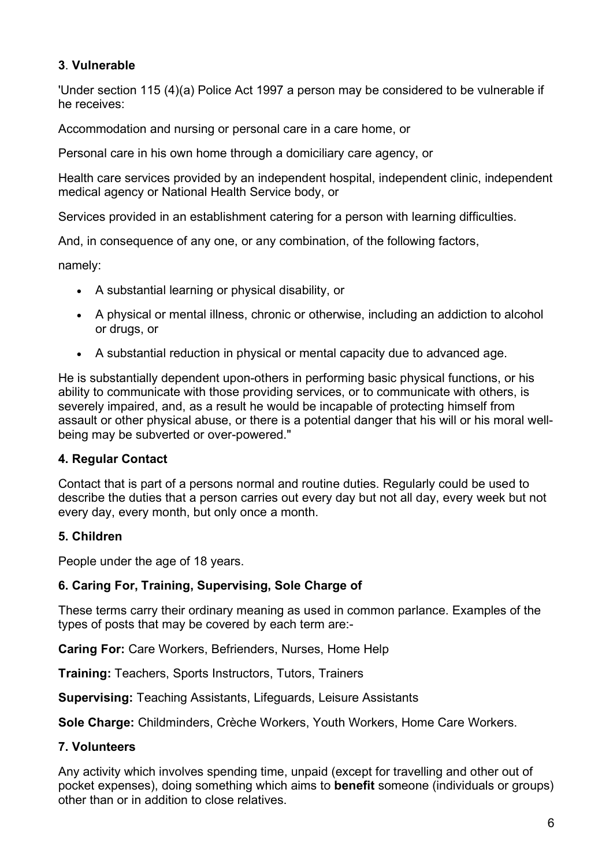## **3**. **Vulnerable**

'Under section 115 (4)(a) Police Act 1997 a person may be considered to be vulnerable if he receives:

Accommodation and nursing or personal care in a care home, or

Personal care in his own home through a domiciliary care agency, or

Health care services provided by an independent hospital, independent clinic, independent medical agency or National Health Service body, or

Services provided in an establishment catering for a person with learning difficulties.

And, in consequence of any one, or any combination, of the following factors,

namely:

- A substantial learning or physical disability, or
- A physical or mental illness, chronic or otherwise, including an addiction to alcohol or drugs, or
- A substantial reduction in physical or mental capacity due to advanced age.

He is substantially dependent upon-others in performing basic physical functions, or his ability to communicate with those providing services, or to communicate with others, is severely impaired, and, as a result he would be incapable of protecting himself from assault or other physical abuse, or there is a potential danger that his will or his moral wellbeing may be subverted or over-powered."

## **4. Regular Contact**

Contact that is part of a persons normal and routine duties. Regularly could be used to describe the duties that a person carries out every day but not all day, every week but not every day, every month, but only once a month.

## **5. Children**

People under the age of 18 years.

## **6. Caring For, Training, Supervising, Sole Charge of**

These terms carry their ordinary meaning as used in common parlance. Examples of the types of posts that may be covered by each term are:-

**Caring For:** Care Workers, Befrienders, Nurses, Home Help

**Training:** Teachers, Sports Instructors, Tutors, Trainers

**Supervising:** Teaching Assistants, Lifeguards, Leisure Assistants

**Sole Charge:** Childminders, Crèche Workers, Youth Workers, Home Care Workers.

## **7. Volunteers**

Any activity which involves spending time, unpaid (except for travelling and other out of pocket expenses), doing something which aims to **benefit** someone (individuals or groups) other than or in addition to close relatives.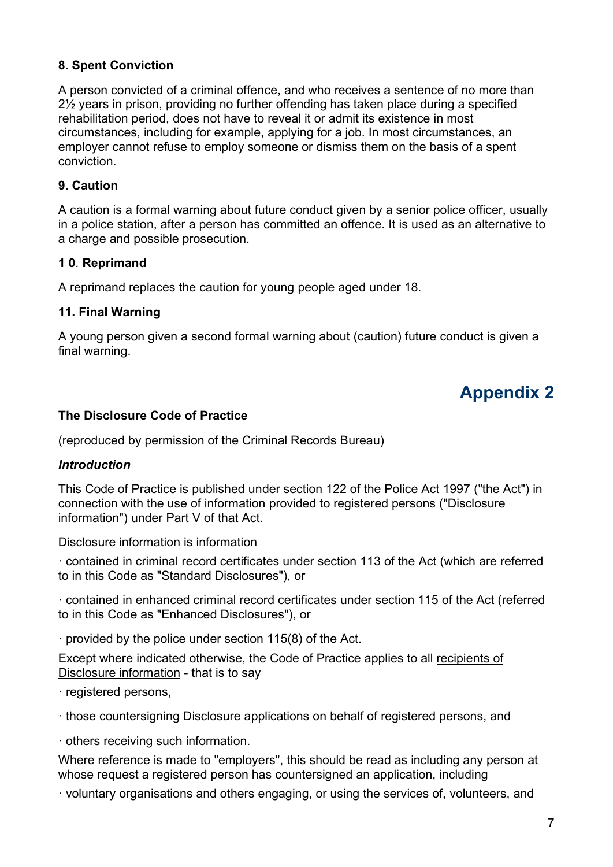## **8. Spent Conviction**

A person convicted of a criminal offence, and who receives a sentence of no more than 2½ years in prison, providing no further offending has taken place during a specified rehabilitation period, does not have to reveal it or admit its existence in most circumstances, including for example, applying for a job. In most circumstances, an employer cannot refuse to employ someone or dismiss them on the basis of a spent conviction.

## **9. Caution**

A caution is a formal warning about future conduct given by a senior police officer, usually in a police station, after a person has committed an offence. It is used as an alternative to a charge and possible prosecution.

## **1 0**. **Reprimand**

A reprimand replaces the caution for young people aged under 18.

## **11. Final Warning**

A young person given a second formal warning about (caution) future conduct is given a final warning.

## **Appendix 2**

## **The Disclosure Code of Practice**

(reproduced by permission of the Criminal Records Bureau)

## *Introduction*

This Code of Practice is published under section 122 of the Police Act 1997 ("the Act") in connection with the use of information provided to registered persons ("Disclosure information") under Part V of that Act.

Disclosure information is information

· contained in criminal record certificates under section 113 of the Act (which are referred to in this Code as "Standard Disclosures"), or

· contained in enhanced criminal record certificates under section 115 of the Act (referred to in this Code as "Enhanced Disclosures"), or

· provided by the police under section 115(8) of the Act.

Except where indicated otherwise, the Code of Practice applies to all recipients of Disclosure information - that is to say

· registered persons,

· those countersigning Disclosure applications on behalf of registered persons, and

· others receiving such information.

Where reference is made to "employers", this should be read as including any person at whose request a registered person has countersigned an application, including

· voluntary organisations and others engaging, or using the services of, volunteers, and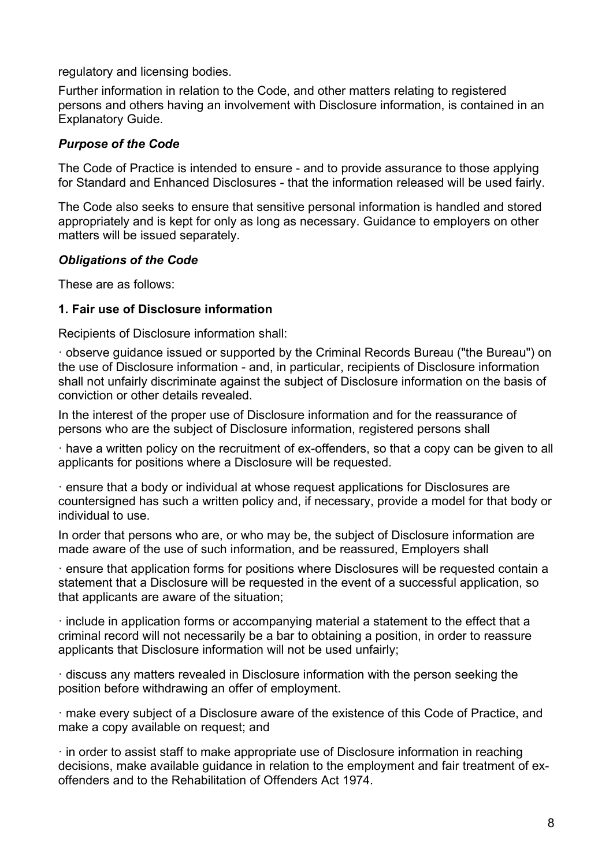regulatory and licensing bodies.

Further information in relation to the Code, and other matters relating to registered persons and others having an involvement with Disclosure information, is contained in an Explanatory Guide.

## *Purpose of the Code*

The Code of Practice is intended to ensure - and to provide assurance to those applying for Standard and Enhanced Disclosures - that the information released will be used fairly.

The Code also seeks to ensure that sensitive personal information is handled and stored appropriately and is kept for only as long as necessary. Guidance to employers on other matters will be issued separately.

### *Obligations of the Code*

These are as follows:

## **1. Fair use of Disclosure information**

Recipients of Disclosure information shall:

· observe guidance issued or supported by the Criminal Records Bureau ("the Bureau") on the use of Disclosure information - and, in particular, recipients of Disclosure information shall not unfairly discriminate against the subject of Disclosure information on the basis of conviction or other details revealed.

In the interest of the proper use of Disclosure information and for the reassurance of persons who are the subject of Disclosure information, registered persons shall

· have a written policy on the recruitment of ex-offenders, so that a copy can be given to all applicants for positions where a Disclosure will be requested.

· ensure that a body or individual at whose request applications for Disclosures are countersigned has such a written policy and, if necessary, provide a model for that body or individual to use.

In order that persons who are, or who may be, the subject of Disclosure information are made aware of the use of such information, and be reassured, Employers shall

· ensure that application forms for positions where Disclosures will be requested contain a statement that a Disclosure will be requested in the event of a successful application, so that applicants are aware of the situation;

· include in application forms or accompanying material a statement to the effect that a criminal record will not necessarily be a bar to obtaining a position, in order to reassure applicants that Disclosure information will not be used unfairly;

· discuss any matters revealed in Disclosure information with the person seeking the position before withdrawing an offer of employment.

· make every subject of a Disclosure aware of the existence of this Code of Practice, and make a copy available on request; and

· in order to assist staff to make appropriate use of Disclosure information in reaching decisions, make available guidance in relation to the employment and fair treatment of exoffenders and to the Rehabilitation of Offenders Act 1974.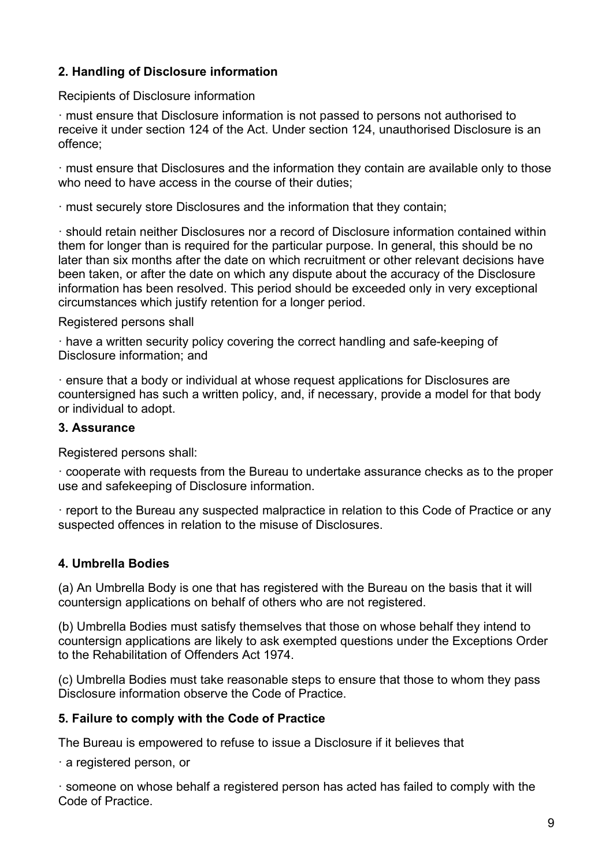## **2. Handling of Disclosure information**

Recipients of Disclosure information

· must ensure that Disclosure information is not passed to persons not authorised to receive it under section 124 of the Act. Under section 124, unauthorised Disclosure is an offence;

· must ensure that Disclosures and the information they contain are available only to those who need to have access in the course of their duties:

· must securely store Disclosures and the information that they contain;

· should retain neither Disclosures nor a record of Disclosure information contained within them for longer than is required for the particular purpose. In general, this should be no later than six months after the date on which recruitment or other relevant decisions have been taken, or after the date on which any dispute about the accuracy of the Disclosure information has been resolved. This period should be exceeded only in very exceptional circumstances which justify retention for a longer period.

Registered persons shall

· have a written security policy covering the correct handling and safe-keeping of Disclosure information; and

· ensure that a body or individual at whose request applications for Disclosures are countersigned has such a written policy, and, if necessary, provide a model for that body or individual to adopt.

## **3. Assurance**

Registered persons shall:

· cooperate with requests from the Bureau to undertake assurance checks as to the proper use and safekeeping of Disclosure information.

· report to the Bureau any suspected malpractice in relation to this Code of Practice or any suspected offences in relation to the misuse of Disclosures.

## **4. Umbrella Bodies**

(a) An Umbrella Body is one that has registered with the Bureau on the basis that it will countersign applications on behalf of others who are not registered.

(b) Umbrella Bodies must satisfy themselves that those on whose behalf they intend to countersign applications are likely to ask exempted questions under the Exceptions Order to the Rehabilitation of Offenders Act 1974.

(c) Umbrella Bodies must take reasonable steps to ensure that those to whom they pass Disclosure information observe the Code of Practice.

## **5. Failure to comply with the Code of Practice**

The Bureau is empowered to refuse to issue a Disclosure if it believes that

· a registered person, or

· someone on whose behalf a registered person has acted has failed to comply with the Code of Practice.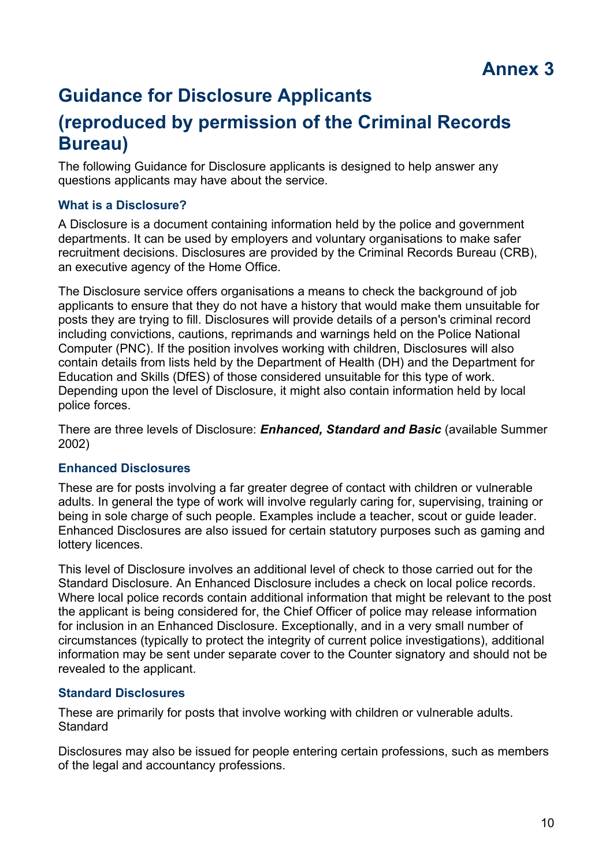# **Guidance for Disclosure Applicants**

# **(reproduced by permission of the Criminal Records Bureau)**

The following Guidance for Disclosure applicants is designed to help answer any questions applicants may have about the service.

## **What is a Disclosure?**

A Disclosure is a document containing information held by the police and government departments. It can be used by employers and voluntary organisations to make safer recruitment decisions. Disclosures are provided by the Criminal Records Bureau (CRB), an executive agency of the Home Office.

The Disclosure service offers organisations a means to check the background of job applicants to ensure that they do not have a history that would make them unsuitable for posts they are trying to fill. Disclosures will provide details of a person's criminal record including convictions, cautions, reprimands and warnings held on the Police National Computer (PNC). If the position involves working with children, Disclosures will also contain details from lists held by the Department of Health (DH) and the Department for Education and Skills (DfES) of those considered unsuitable for this type of work. Depending upon the level of Disclosure, it might also contain information held by local police forces.

There are three levels of Disclosure: *Enhanced, Standard and Basic* (available Summer 2002)

## **Enhanced Disclosures**

These are for posts involving a far greater degree of contact with children or vulnerable adults. In general the type of work will involve regularly caring for, supervising, training or being in sole charge of such people. Examples include a teacher, scout or guide leader. Enhanced Disclosures are also issued for certain statutory purposes such as gaming and lottery licences.

This level of Disclosure involves an additional level of check to those carried out for the Standard Disclosure. An Enhanced Disclosure includes a check on local police records. Where local police records contain additional information that might be relevant to the post the applicant is being considered for, the Chief Officer of police may release information for inclusion in an Enhanced Disclosure. Exceptionally, and in a very small number of circumstances (typically to protect the integrity of current police investigations), additional information may be sent under separate cover to the Counter signatory and should not be revealed to the applicant.

## **Standard Disclosures**

These are primarily for posts that involve working with children or vulnerable adults. **Standard** 

Disclosures may also be issued for people entering certain professions, such as members of the legal and accountancy professions.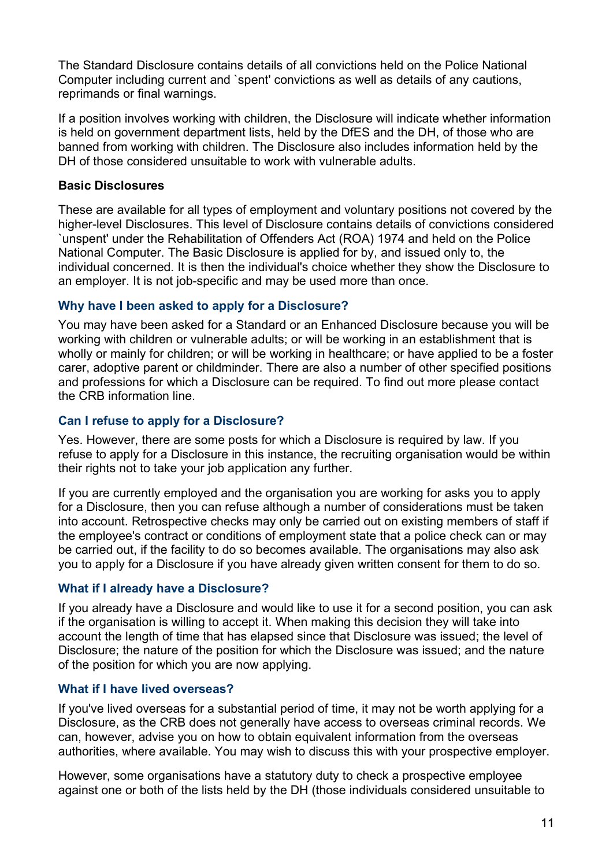The Standard Disclosure contains details of all convictions held on the Police National Computer including current and `spent' convictions as well as details of any cautions, reprimands or final warnings.

If a position involves working with children, the Disclosure will indicate whether information is held on government department lists, held by the DfES and the DH, of those who are banned from working with children. The Disclosure also includes information held by the DH of those considered unsuitable to work with vulnerable adults.

### **Basic Disclosures**

These are available for all types of employment and voluntary positions not covered by the higher-level Disclosures. This level of Disclosure contains details of convictions considered `unspent' under the Rehabilitation of Offenders Act (ROA) 1974 and held on the Police National Computer. The Basic Disclosure is applied for by, and issued only to, the individual concerned. It is then the individual's choice whether they show the Disclosure to an employer. It is not job-specific and may be used more than once.

## **Why have I been asked to apply for a Disclosure?**

You may have been asked for a Standard or an Enhanced Disclosure because you will be working with children or vulnerable adults; or will be working in an establishment that is wholly or mainly for children; or will be working in healthcare; or have applied to be a foster carer, adoptive parent or childminder. There are also a number of other specified positions and professions for which a Disclosure can be required. To find out more please contact the CRB information line.

## **Can I refuse to apply for a Disclosure?**

Yes. However, there are some posts for which a Disclosure is required by law. If you refuse to apply for a Disclosure in this instance, the recruiting organisation would be within their rights not to take your job application any further.

If you are currently employed and the organisation you are working for asks you to apply for a Disclosure, then you can refuse although a number of considerations must be taken into account. Retrospective checks may only be carried out on existing members of staff if the employee's contract or conditions of employment state that a police check can or may be carried out, if the facility to do so becomes available. The organisations may also ask you to apply for a Disclosure if you have already given written consent for them to do so.

## **What if I already have a Disclosure?**

If you already have a Disclosure and would like to use it for a second position, you can ask if the organisation is willing to accept it. When making this decision they will take into account the length of time that has elapsed since that Disclosure was issued; the level of Disclosure; the nature of the position for which the Disclosure was issued; and the nature of the position for which you are now applying.

## **What if I have lived overseas?**

If you've lived overseas for a substantial period of time, it may not be worth applying for a Disclosure, as the CRB does not generally have access to overseas criminal records. We can, however, advise you on how to obtain equivalent information from the overseas authorities, where available. You may wish to discuss this with your prospective employer.

However, some organisations have a statutory duty to check a prospective employee against one or both of the lists held by the DH (those individuals considered unsuitable to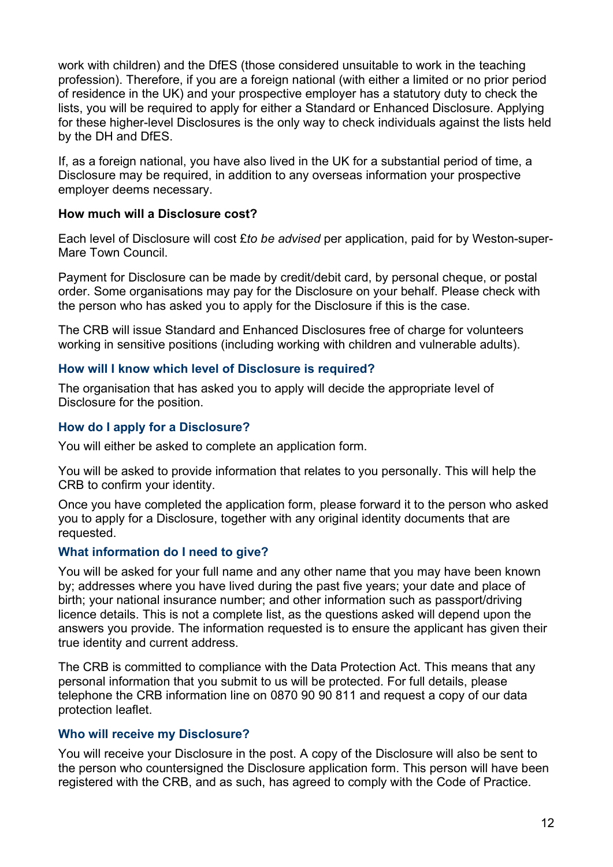work with children) and the DfES (those considered unsuitable to work in the teaching profession). Therefore, if you are a foreign national (with either a limited or no prior period of residence in the UK) and your prospective employer has a statutory duty to check the lists, you will be required to apply for either a Standard or Enhanced Disclosure. Applying for these higher-level Disclosures is the only way to check individuals against the lists held by the DH and DfES.

If, as a foreign national, you have also lived in the UK for a substantial period of time, a Disclosure may be required, in addition to any overseas information your prospective employer deems necessary.

## **How much will a Disclosure cost?**

Each level of Disclosure will cost £*to be advised* per application, paid for by Weston-super-Mare Town Council.

Payment for Disclosure can be made by credit/debit card, by personal cheque, or postal order. Some organisations may pay for the Disclosure on your behalf. Please check with the person who has asked you to apply for the Disclosure if this is the case.

The CRB will issue Standard and Enhanced Disclosures free of charge for volunteers working in sensitive positions (including working with children and vulnerable adults).

## **How will I know which level of Disclosure is required?**

The organisation that has asked you to apply will decide the appropriate level of Disclosure for the position.

## **How do I apply for a Disclosure?**

You will either be asked to complete an application form.

You will be asked to provide information that relates to you personally. This will help the CRB to confirm your identity.

Once you have completed the application form, please forward it to the person who asked you to apply for a Disclosure, together with any original identity documents that are requested.

### **What information do I need to give?**

You will be asked for your full name and any other name that you may have been known by; addresses where you have lived during the past five years; your date and place of birth; your national insurance number; and other information such as passport/driving licence details. This is not a complete list, as the questions asked will depend upon the answers you provide. The information requested is to ensure the applicant has given their true identity and current address.

The CRB is committed to compliance with the Data Protection Act. This means that any personal information that you submit to us will be protected. For full details, please telephone the CRB information line on 0870 90 90 811 and request a copy of our data protection leaflet.

## **Who will receive my Disclosure?**

You will receive your Disclosure in the post. A copy of the Disclosure will also be sent to the person who countersigned the Disclosure application form. This person will have been registered with the CRB, and as such, has agreed to comply with the Code of Practice.